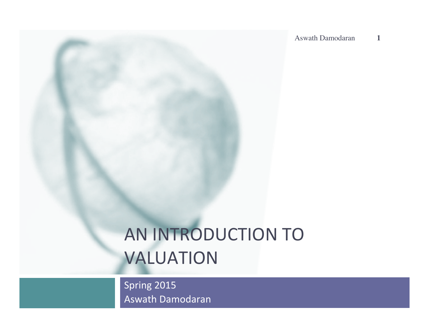# AN INTRODUCTION TO VALUATION

Spring 2015 Aswath Damodaran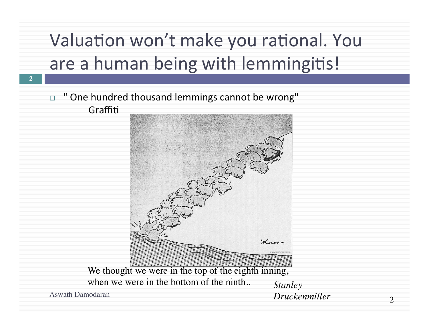# Valuation won't make you rational. You are a human being with lemmingitis!

□ " One hundred thousand lemmings cannot be wrong" Graffiti



We thought we were in the top of the eighth inning, when we were in the bottom of the ninth.. *Stanley*<br>Aswath Damodaran *Drucket* 

**2**

Aswath Damodaran *Druckenmiller*

 $\mathcal{D}$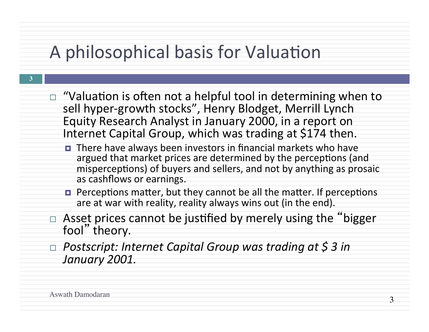## A philosophical basis for Valuation

- $\Box$  "Valuation is often not a helpful tool in determining when to sell hyper-growth stocks", Henry Blodget, Merrill Lynch Equity Research Analyst in January 2000, in a report on Internet Capital Group, which was trading at \$174 then.
	- There have always been investors in financial markets who have argued that market prices are determined by the perceptions (and misperceptions) of buyers and sellers, and not by anything as prosaic as cashflows or earnings.
	- $\blacksquare$  Perceptions matter, but they cannot be all the matter. If perceptions are at war with reality, reality always wins out (in the end).
- $\Box$  Asset prices cannot be justified by merely using the "bigger" fool" theory.
- □ Postscript: Internet Capital Group was trading at \$ 3 in *January 2001.*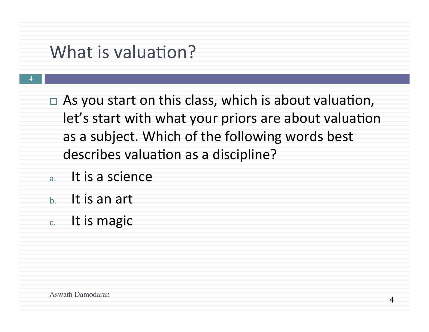### What is valuation?

- $\Box$  As you start on this class, which is about valuation, let's start with what your priors are about valuation as a subject. Which of the following words best describes valuation as a discipline?
- a. It is a science
- $b.$  It is an art

**4**

 $c.$  It is magic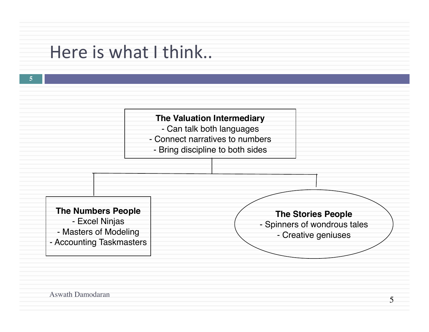### Here is what I think..



Aswath Damodaran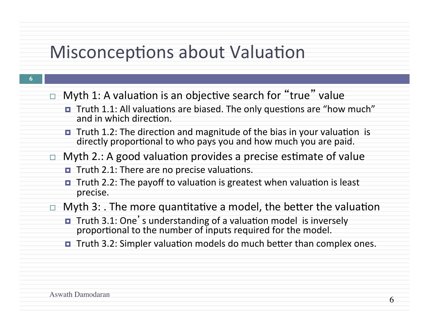### Misconceptions about Valuation

- **6**
- $\Box$  Myth 1: A valuation is an objective search for "true" value
	- Truth 1.1: All valuations are biased. The only questions are "how much" and in which direction.
	- $\blacksquare$  Truth 1.2: The direction and magnitude of the bias in your valuation is directly proportional to who pays you and how much you are paid.
- $\Box$  Myth 2.: A good valuation provides a precise estimate of value
	- $\blacksquare$  Truth 2.1: There are no precise valuations.
	- $\blacksquare$  Truth 2.2: The payoff to valuation is greatest when valuation is least precise.
- $\Box$  Myth 3: . The more quantitative a model, the better the valuation
	- Truth 3.1: One's understanding of a valuation model is inversely proportional to the number of inputs required for the model.
	- $\blacksquare$  Truth 3.2: Simpler valuation models do much better than complex ones.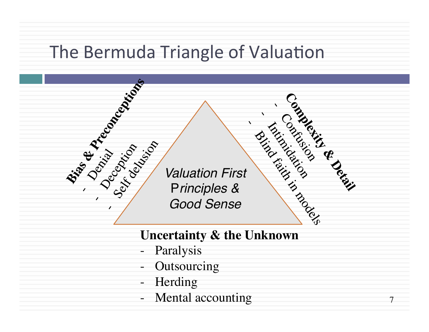### The Bermuda Triangle of Valuation



### **Uncertainty & the Unknown**

- Paralysis
- Outsourcing
- Herding
- Mental accounting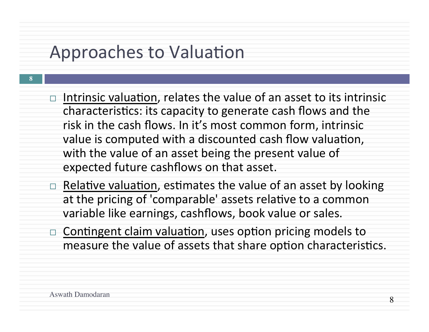### Approaches to Valuation

- $\Box$  Intrinsic valuation, relates the value of an asset to its intrinsic characteristics: its capacity to generate cash flows and the risk in the cash flows. In it's most common form, intrinsic value is computed with a discounted cash flow valuation, with the value of an asset being the present value of expected future cashflows on that asset.
	- Relative valuation, estimates the value of an asset by looking at the pricing of 'comparable' assets relative to a common variable like earnings, cashflows, book value or sales.
	- Contingent claim valuation, uses option pricing models to measure the value of assets that share option characteristics.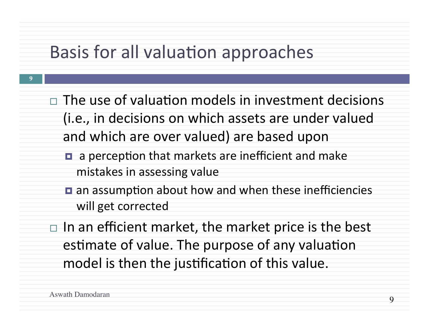### Basis for all valuation approaches

- $\Box$  The use of valuation models in investment decisions (i.e., in decisions on which assets are under valued and which are over valued) are based upon
	- $\blacksquare$  a perception that markets are inefficient and make mistakes in assessing value
	- $\blacksquare$  an assumption about how and when these inefficiencies will get corrected
- $\Box$  In an efficient market, the market price is the best estimate of value. The purpose of any valuation model is then the justification of this value.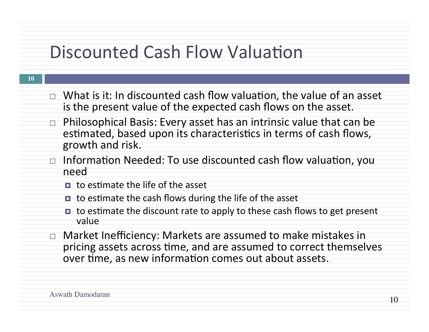### Discounted Cash Flow Valuation

- $\Box$  What is it: In discounted cash flow valuation, the value of an asset is the present value of the expected cash flows on the asset.
- $\Box$  Philosophical Basis: Every asset has an intrinsic value that can be estimated, based upon its characteristics in terms of cash flows, growth and risk.
- $\Box$  Information Needed: To use discounted cash flow valuation, you need
	- $\Box$  to estimate the life of the asset
	- $\blacksquare$  to estimate the cash flows during the life of the asset
	- $\blacksquare$  to estimate the discount rate to apply to these cash flows to get present value
- $\Box$  Market Inefficiency: Markets are assumed to make mistakes in pricing assets across time, and are assumed to correct themselves over time, as new information comes out about assets.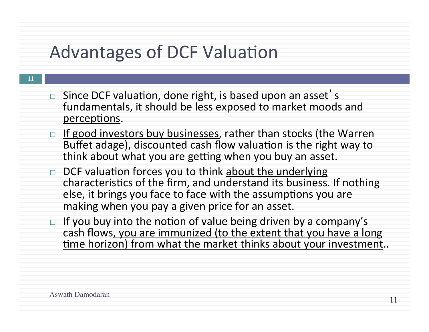### Advantages of DCF Valuation

- **11**
- $\Box$  Since DCF valuation, done right, is based upon an asset's fundamentals, it should be less exposed to market moods and perceptions.
- □ If good investors buy businesses, rather than stocks (the Warren Buffet adage), discounted cash flow valuation is the right way to think about what you are getting when you buy an asset.
- $\Box$  DCF valuation forces you to think about the underlying characteristics of the firm, and understand its business. If nothing else, it brings you face to face with the assumptions you are making when you pay a given price for an asset.
- $\Box$  If you buy into the notion of value being driven by a company's cash flows, you are immunized (to the extent that you have a long time horizon) from what the market thinks about your investment..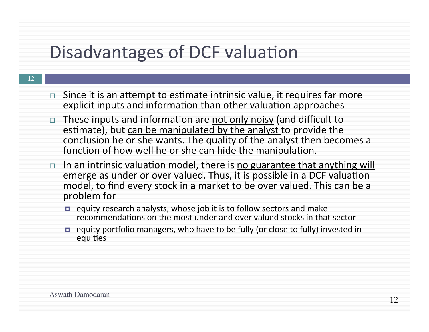### Disadvantages of DCF valuation

- $\Box$  Since it is an attempt to estimate intrinsic value, it requires far more explicit inputs and information than other valuation approaches
	- These inputs and information are not only noisy (and difficult to estimate), but can be manipulated by the analyst to provide the conclusion he or she wants. The quality of the analyst then becomes a function of how well he or she can hide the manipulation.
	- $\Box$  In an intrinsic valuation model, there is no guarantee that anything will emerge as under or over valued. Thus, it is possible in a DCF valuation model, to find every stock in a market to be over valued. This can be a problem for
		- $\blacksquare$  equity research analysts, whose job it is to follow sectors and make recommendations on the most under and over valued stocks in that sector
		- equity portfolio managers, who have to be fully (or close to fully) invested in equities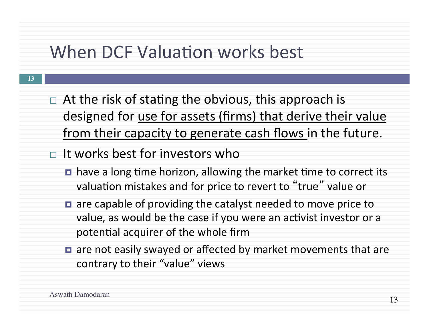### When DCF Valuation works best

- $\Box$  At the risk of stating the obvious, this approach is designed for use for assets (firms) that derive their value from their capacity to generate cash flows in the future.
- $\Box$  It works best for investors who
	- $\blacksquare$  have a long time horizon, allowing the market time to correct its valuation mistakes and for price to revert to "true" value or
	- $\blacksquare$  are capable of providing the catalyst needed to move price to value, as would be the case if you were an activist investor or a potential acquirer of the whole firm
	- $\blacksquare$  are not easily swayed or affected by market movements that are contrary to their "value" views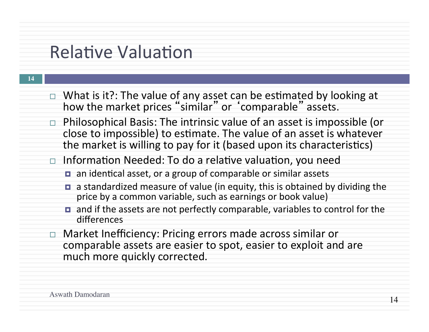### **Relative Valuation**

- $\Box$  What is it?: The value of any asset can be estimated by looking at how the market prices "similar" or 'comparable" assets.
- $\Box$  Philosophical Basis: The intrinsic value of an asset is impossible (or close to impossible) to estimate. The value of an asset is whatever the market is willing to pay for it (based upon its characteristics)
- $\Box$  Information Needed: To do a relative valuation, you need
	- $\blacksquare$  an identical asset, or a group of comparable or similar assets
	- **□** a standardized measure of value (in equity, this is obtained by dividing the price by a common variable, such as earnings or book value)
	- $\blacksquare$  and if the assets are not perfectly comparable, variables to control for the differences
- Market Inefficiency: Pricing errors made across similar or comparable assets are easier to spot, easier to exploit and are much more quickly corrected.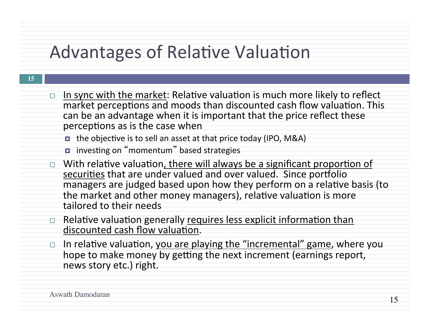### Advantages of Relative Valuation

| ٠ | an an<br>n a |  |
|---|--------------|--|
|   | M.           |  |

In sync with the market: Relative valuation is much more likely to reflect market perceptions and moods than discounted cash flow valuation. This can be an advantage when it is important that the price reflect these perceptions as is the case when

 $\blacksquare$  the objective is to sell an asset at that price today (IPO, M&A)

- investing on "momentum" based strategies
- With relative valuation, there will always be a significant proportion of securities that are under valued and over valued. Since portfolio managers are judged based upon how they perform on a relative basis (to the market and other money managers), relative valuation is more tailored to their needs
- $\Box$  Relative valuation generally requires less explicit information than discounted cash flow valuation.
- In relative valuation, you are playing the "incremental" game, where you hope to make money by getting the next increment (earnings report, news story etc.) right.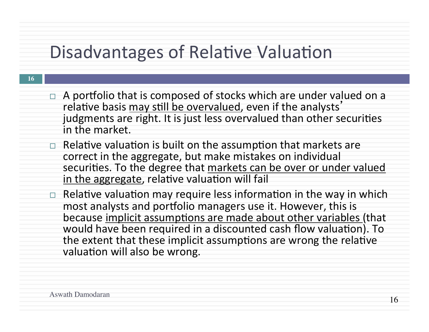### Disadvantages of Relative Valuation

- $\Box$  A portfolio that is composed of stocks which are under valued on a relative basis may still be overvalued, even if the analysts' judgments are right. It is just less overvalued than other securities in the market
- $\Box$  Relative valuation is built on the assumption that markets are correct in the aggregate, but make mistakes on individual securities. To the degree that markets can be over or under valued in the aggregate, relative valuation will fail
- Relative valuation may require less information in the way in which most analysts and portfolio managers use it. However, this is because implicit assumptions are made about other variables (that would have been required in a discounted cash flow valuation). To the extent that these implicit assumptions are wrong the relative valuation will also be wrong.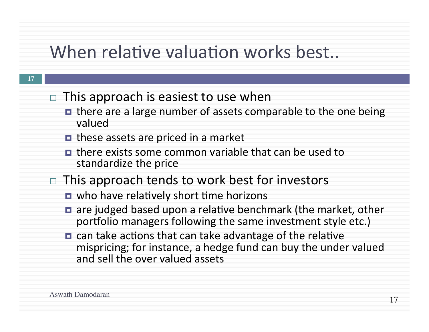### When relative valuation works best...

- **17**
- $\Box$  This approach is easiest to use when
	- **□** there are a large number of assets comparable to the one being valued
	- **□** these assets are priced in a market
	- $\blacksquare$  there exists some common variable that can be used to standardize the price
- $\Box$  This approach tends to work best for investors
	- $\blacksquare$  who have relatively short time horizons
	- $\blacksquare$  are judged based upon a relative benchmark (the market, other portfolio managers following the same investment style etc.)
	- $\blacksquare$  can take actions that can take advantage of the relative mispricing; for instance, a hedge fund can buy the under valued and sell the over valued assets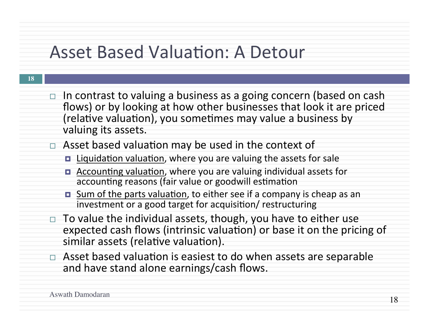### Asset Based Valuation: A Detour

| $\Box$ In contrast to valuing a business as a going concern (based on cash |
|----------------------------------------------------------------------------|
| flows) or by looking at how other businesses that look it are priced       |
| (relative valuation), you sometimes may value a business by                |
| valuing its assets.                                                        |

### $\Box$  Asset based valuation may be used in the context of

- □ Liquidation valuation, where you are valuing the assets for sale
- Accounting valuation, where you are valuing individual assets for accounting reasons (fair value or goodwill estimation
- Sum of the parts valuation, to either see if a company is cheap as an investment or a good target for acquisition/ restructuring
- To value the individual assets, though, you have to either use expected cash flows (intrinsic valuation) or base it on the pricing of similar assets (relative valuation).
- $\Box$  Asset based valuation is easiest to do when assets are separable and have stand alone earnings/cash flows.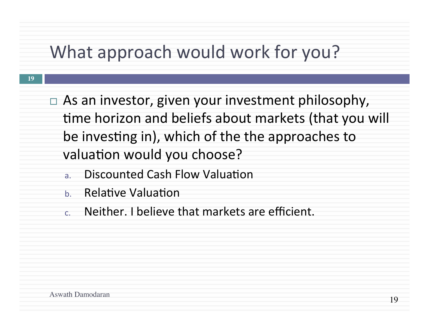### What approach would work for you?

- $\Box$  As an investor, given your investment philosophy, time horizon and beliefs about markets (that you will be investing in), which of the the approaches to valuation would you choose?
	- a. Discounted Cash Flow Valuation
	- b. Relative Valuation
	- c. Neither. I believe that markets are efficient.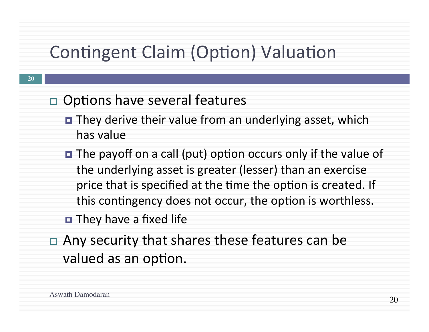## Contingent Claim (Option) Valuation

- $\Box$  Options have several features
	- They derive their value from an underlying asset, which has value
	- $\blacksquare$  The payoff on a call (put) option occurs only if the value of the underlying asset is greater (lesser) than an exercise price that is specified at the time the option is created. If this contingency does not occur, the option is worthless.
	- $\blacksquare$  They have a fixed life
- Any security that shares these features can be valued as an option.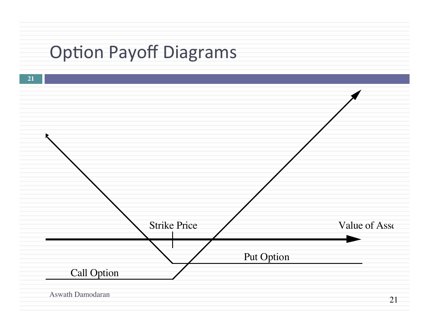# **Option Payoff Diagrams**

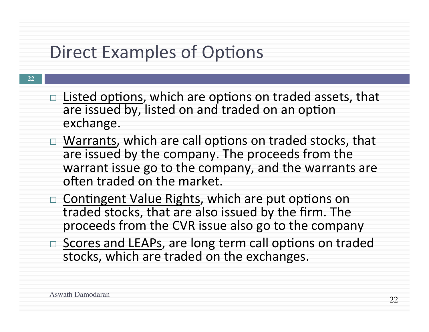### Direct Examples of Options

- **22**
- $\Box$  Listed options, which are options on traded assets, that are issued by, listed on and traded on an option exchange.
- □ Warrants, which are call options on traded stocks, that are issued by the company. The proceeds from the warrant issue go to the company, and the warrants are often traded on the market.
- $\Box$  Contingent Value Rights, which are put options on traded stocks, that are also issued by the firm. The proceeds from the CVR issue also go to the company
- □ Scores and LEAPs, are long term call options on traded stocks, which are traded on the exchanges.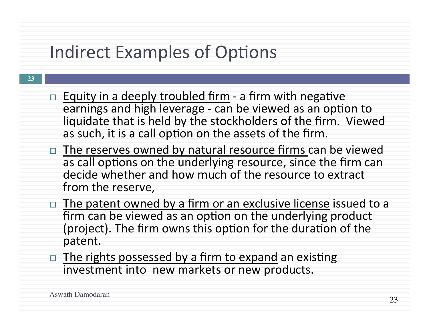## Indirect Examples of Options

- $\Box$  Equity in a deeply troubled firm a firm with negative earnings and high leverage - can be viewed as an option to liquidate that is held by the stockholders of the firm. Viewed as such, it is a call option on the assets of the firm.
- $\Box$  The reserves owned by natural resource firms can be viewed as call options on the underlying resource, since the firm can decide whether and how much of the resource to extract from the reserve,
- $\Box$  The patent owned by a firm or an exclusive license issued to a firm can be viewed as an option on the underlying product (project). The firm owns this option for the duration of the patent.
- $\Box$  The rights possessed by a firm to expand an existing investment into new markets or new products.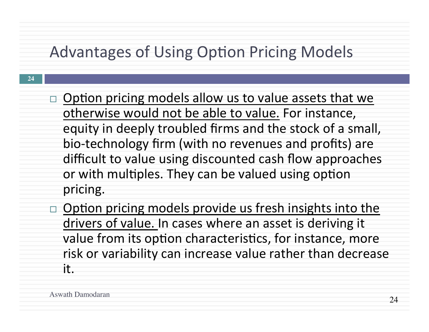### Advantages of Using Option Pricing Models

- $\Box$  Option pricing models allow us to value assets that we otherwise would not be able to value. For instance, equity in deeply troubled firms and the stock of a small, bio-technology firm (with no revenues and profits) are difficult to value using discounted cash flow approaches or with multiples. They can be valued using option pricing.
- Option pricing models provide us fresh insights into the drivers of value. In cases where an asset is deriving it value from its option characteristics, for instance, more risk or variability can increase value rather than decrease it.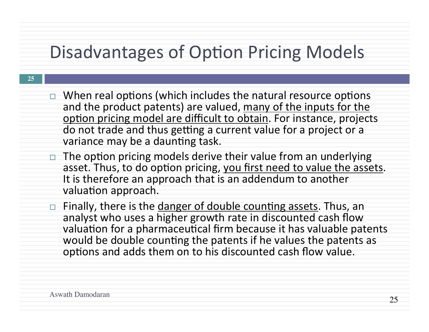## Disadvantages of Option Pricing Models

- $\Box$  When real options (which includes the natural resource options and the product patents) are valued, many of the inputs for the option pricing model are difficult to obtain. For instance, projects do not trade and thus getting a current value for a project or a variance may be a daunting task.
- The option pricing models derive their value from an underlying asset. Thus, to do option pricing, you first need to value the assets.<br>It is therefore an approach that is an addendum to another valuation approach.
- □ Finally, there is the danger of double counting assets. Thus, an analyst who uses a higher growth rate in discounted cash flow valuation for a pharmaceutical firm because it has valuable patents would be double counting the patents if he values the patents as options and adds them on to his discounted cash flow value.